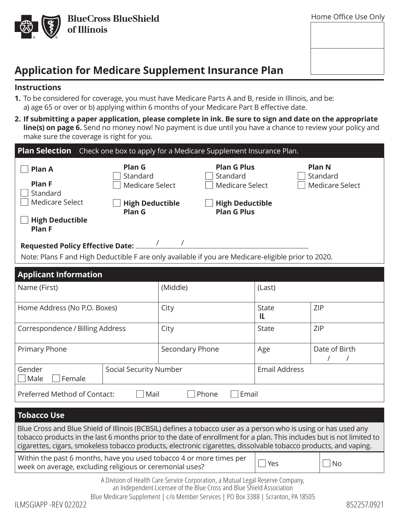

# **Application for Medicare Supplement Insurance Plan**

### **Instructions**

- **1.** To be considered for coverage, you must have Medicare Parts A and B, reside in Illinois, and be: a) age 65 or over or b) applying within 6 months of your Medicare Part B effective date.
- **2. If submitting a paper application, please complete in ink. Be sure to sign and date on the appropriate line(s) on page 6.** Send no money now! No payment is due until you have a chance to review your policy and make sure the coverage is right for you.

| <b>Plan Selection</b><br>Check one box to apply for a Medicare Supplement Insurance Plan.                       |                                                                                         |                 |                                                                                                   |                     |                                                     |
|-----------------------------------------------------------------------------------------------------------------|-----------------------------------------------------------------------------------------|-----------------|---------------------------------------------------------------------------------------------------|---------------------|-----------------------------------------------------|
| <b>Plan A</b><br><b>Plan F</b><br>Standard<br><b>Medicare Select</b><br><b>High Deductible</b><br><b>Plan F</b> | Plan G<br>Standard<br><b>Medicare Select</b><br><b>High Deductible</b><br><b>Plan G</b> |                 | <b>Plan G Plus</b><br>Standard<br>Medicare Select<br><b>High Deductible</b><br><b>Plan G Plus</b> |                     | <b>Plan N</b><br>Standard<br><b>Medicare Select</b> |
| Note: Plans F and High Deductible F are only available if you are Medicare-eligible prior to 2020.              |                                                                                         |                 |                                                                                                   |                     |                                                     |
| <b>Applicant Information</b>                                                                                    |                                                                                         |                 |                                                                                                   |                     |                                                     |
| Name (First)                                                                                                    |                                                                                         | (Middle)        |                                                                                                   | (Last)              |                                                     |
| Home Address (No P.O. Boxes)                                                                                    |                                                                                         | City            |                                                                                                   | <b>State</b><br>IL. | <b>ZIP</b>                                          |
| Correspondence / Billing Address                                                                                |                                                                                         | City            |                                                                                                   | State               | ZIP                                                 |
| Primary Phone                                                                                                   |                                                                                         | Secondary Phone |                                                                                                   | Age                 | Date of Birth                                       |
| Gender<br>Female<br>Male                                                                                        | <b>Social Security Number</b>                                                           |                 | <b>Email Address</b>                                                                              |                     |                                                     |
| Preferred Method of Contact:                                                                                    | Mail                                                                                    | Phone           | Email                                                                                             |                     |                                                     |

#### **Tobacco Use**

Blue Cross and Blue Shield of Illinois (BCBSIL) defines a tobacco user as a person who is using or has used any tobacco products in the last 6 months prior to the date of enrollment for a plan. This includes but is not limited to cigarettes, cigars, smokeless tobacco products, electronic cigarettes, dissolvable tobacco products, and vaping.

Within the past 6 months, have you used tobacco 4 or more times per which the past of morths, have you ased to bacco  $\rightarrow$  of more times per  $\Box$  Yes  $\Box$  No

> A Division of Health Care Service Corporation, a Mutual Legal Reserve Company, an Independent Licensee of the Blue Cross and Blue Shield Association

Blue Medicare Supplement | c/o Member Services | PO Box 3388 | Scranton, PA 18505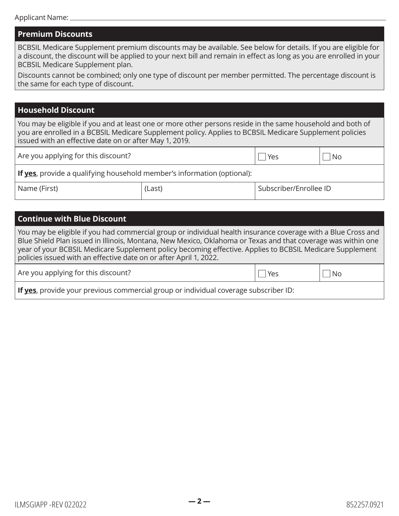### **Premium Discounts**

BCBSIL Medicare Supplement premium discounts may be available. See below for details. If you are eligible for a discount, the discount will be applied to your next bill and remain in effect as long as you are enrolled in your BCBSIL Medicare Supplement plan.

Discounts cannot be combined; only one type of discount per member permitted. The percentage discount is the same for each type of discount.

### **Household Discount**

You may be eligible if you and at least one or more other persons reside in the same household and both of you are enrolled in a BCBSIL Medicare Supplement policy. Applies to BCBSIL Medicare Supplement policies issued with an effective date on or after May 1, 2019.

| Are you applying for this discount?                                     | Yes    | No                     |  |
|-------------------------------------------------------------------------|--------|------------------------|--|
| If yes, provide a qualifying household member's information (optional): |        |                        |  |
| Name (First)                                                            | (Last) | Subscriber/Enrollee ID |  |

#### **Continue with Blue Discount**

You may be eligible if you had commercial group or individual health insurance coverage with a Blue Cross and Blue Shield Plan issued in Illinois, Montana, New Mexico, Oklahoma or Texas and that coverage was within one year of your BCBSIL Medicare Supplement policy becoming effective. Applies to BCBSIL Medicare Supplement policies issued with an effective date on or after April 1, 2022.

Are you applying for this discount?  $\Box$  Yes  $\Box$  No

**If yes**, provide your previous commercial group or individual coverage subscriber ID: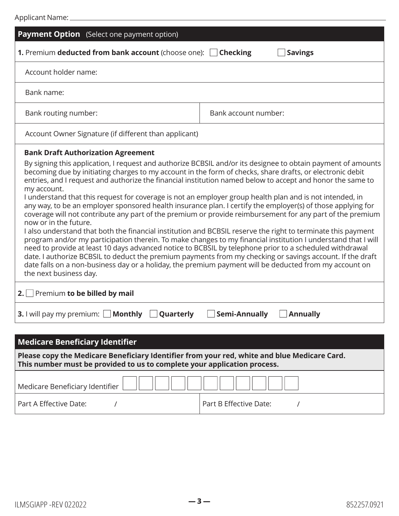| Payment Option (Select one payment option)                                                                                                                                                                                                                                                                                                                                                                                                                                                                                                                                                                                                                                                                                                                                                                                                                                                                                                                                                                                                                                                                                                                                                                                                                                                                                                                        |                                         |  |
|-------------------------------------------------------------------------------------------------------------------------------------------------------------------------------------------------------------------------------------------------------------------------------------------------------------------------------------------------------------------------------------------------------------------------------------------------------------------------------------------------------------------------------------------------------------------------------------------------------------------------------------------------------------------------------------------------------------------------------------------------------------------------------------------------------------------------------------------------------------------------------------------------------------------------------------------------------------------------------------------------------------------------------------------------------------------------------------------------------------------------------------------------------------------------------------------------------------------------------------------------------------------------------------------------------------------------------------------------------------------|-----------------------------------------|--|
| 1. Premium deducted from bank account (choose one):                                                                                                                                                                                                                                                                                                                                                                                                                                                                                                                                                                                                                                                                                                                                                                                                                                                                                                                                                                                                                                                                                                                                                                                                                                                                                                               | <b>Checking</b><br><b>Savings</b>       |  |
| Account holder name:                                                                                                                                                                                                                                                                                                                                                                                                                                                                                                                                                                                                                                                                                                                                                                                                                                                                                                                                                                                                                                                                                                                                                                                                                                                                                                                                              |                                         |  |
| Bank name:                                                                                                                                                                                                                                                                                                                                                                                                                                                                                                                                                                                                                                                                                                                                                                                                                                                                                                                                                                                                                                                                                                                                                                                                                                                                                                                                                        |                                         |  |
| Bank routing number:                                                                                                                                                                                                                                                                                                                                                                                                                                                                                                                                                                                                                                                                                                                                                                                                                                                                                                                                                                                                                                                                                                                                                                                                                                                                                                                                              | Bank account number:                    |  |
| Account Owner Signature (if different than applicant)                                                                                                                                                                                                                                                                                                                                                                                                                                                                                                                                                                                                                                                                                                                                                                                                                                                                                                                                                                                                                                                                                                                                                                                                                                                                                                             |                                         |  |
| <b>Bank Draft Authorization Agreement</b><br>By signing this application, I request and authorize BCBSIL and/or its designee to obtain payment of amounts<br>becoming due by initiating charges to my account in the form of checks, share drafts, or electronic debit<br>entries, and I request and authorize the financial institution named below to accept and honor the same to<br>my account.<br>I understand that this request for coverage is not an employer group health plan and is not intended, in<br>any way, to be an employer sponsored health insurance plan. I certify the employer(s) of those applying for<br>coverage will not contribute any part of the premium or provide reimbursement for any part of the premium<br>now or in the future.<br>I also understand that both the financial institution and BCBSIL reserve the right to terminate this payment<br>program and/or my participation therein. To make changes to my financial institution I understand that I will<br>need to provide at least 10 days advanced notice to BCBSIL by telephone prior to a scheduled withdrawal<br>date. I authorize BCBSIL to deduct the premium payments from my checking or savings account. If the draft<br>date falls on a non-business day or a holiday, the premium payment will be deducted from my account on<br>the next business day. |                                         |  |
| 2. Premium to be billed by mail                                                                                                                                                                                                                                                                                                                                                                                                                                                                                                                                                                                                                                                                                                                                                                                                                                                                                                                                                                                                                                                                                                                                                                                                                                                                                                                                   |                                         |  |
| <b>3.</b> I will pay my premium: Monthly<br>Quarterly                                                                                                                                                                                                                                                                                                                                                                                                                                                                                                                                                                                                                                                                                                                                                                                                                                                                                                                                                                                                                                                                                                                                                                                                                                                                                                             | <b>Semi-Annually</b><br><b>Annually</b> |  |
|                                                                                                                                                                                                                                                                                                                                                                                                                                                                                                                                                                                                                                                                                                                                                                                                                                                                                                                                                                                                                                                                                                                                                                                                                                                                                                                                                                   |                                         |  |
| <b>Medicare Beneficiary Identifier</b>                                                                                                                                                                                                                                                                                                                                                                                                                                                                                                                                                                                                                                                                                                                                                                                                                                                                                                                                                                                                                                                                                                                                                                                                                                                                                                                            |                                         |  |
| Please copy the Medicare Beneficiary Identifier from your red, white and blue Medicare Card.                                                                                                                                                                                                                                                                                                                                                                                                                                                                                                                                                                                                                                                                                                                                                                                                                                                                                                                                                                                                                                                                                                                                                                                                                                                                      |                                         |  |

| <b>The company of the internative serioristic f</b> indication is an ideal tool mined and allow shows in a serior<br>This number must be provided to us to complete your application process.                                                                                                                                                                                                                                                                                                                     |                        |  |
|-------------------------------------------------------------------------------------------------------------------------------------------------------------------------------------------------------------------------------------------------------------------------------------------------------------------------------------------------------------------------------------------------------------------------------------------------------------------------------------------------------------------|------------------------|--|
| $\begin{array}{c c c c c} \textbf{Medicare Benedictary Identifier } & & & & & \\ \hline \end{array} \begin{array}{c c c} & & & & \\ \hline & & & & \\ \hline & & & & \\ \hline & & & & \\ \hline & & & & \\ \hline \end{array} \begin{array}{c c c} & & & \\ \hline & & & & \\ \hline & & & & \\ \hline & & & & \\ \hline & & & & \\ \hline \end{array} \begin{array}{c c} & & & \\ \hline & & & & \\ \hline & & & & \\ \hline & & & & \\ \hline & & & & \\ \hline \end{array} \begin{array}{c} \begin{array}{c}$ |                        |  |
| Part A Effective Date:                                                                                                                                                                                                                                                                                                                                                                                                                                                                                            | Part B Effective Date: |  |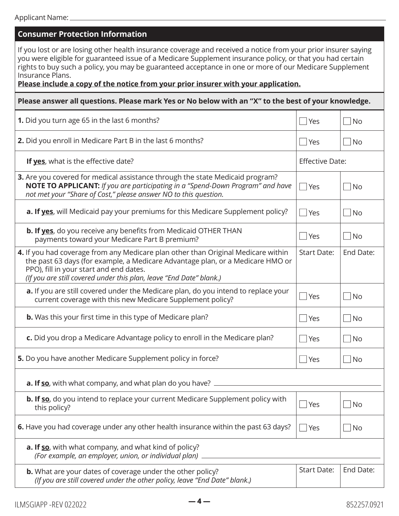| <b>Consumer Protection Information</b>                                                                                                                                                                                                                                                                                                                                                                                                           |                        |                             |
|--------------------------------------------------------------------------------------------------------------------------------------------------------------------------------------------------------------------------------------------------------------------------------------------------------------------------------------------------------------------------------------------------------------------------------------------------|------------------------|-----------------------------|
| If you lost or are losing other health insurance coverage and received a notice from your prior insurer saying<br>you were eligible for guaranteed issue of a Medicare Supplement insurance policy, or that you had certain<br>rights to buy such a policy, you may be guaranteed acceptance in one or more of our Medicare Supplement<br>Insurance Plans.<br>Please include a copy of the notice from your prior insurer with your application. |                        |                             |
| Please answer all questions. Please mark Yes or No below with an "X" to the best of your knowledge.                                                                                                                                                                                                                                                                                                                                              |                        |                             |
| 1. Did you turn age 65 in the last 6 months?                                                                                                                                                                                                                                                                                                                                                                                                     | <b>Yes</b>             | No                          |
| 2. Did you enroll in Medicare Part B in the last 6 months?                                                                                                                                                                                                                                                                                                                                                                                       | $\blacksquare$ Yes     | No                          |
| If yes, what is the effective date?                                                                                                                                                                                                                                                                                                                                                                                                              | <b>Effective Date:</b> |                             |
| 3. Are you covered for medical assistance through the state Medicaid program?<br>NOTE TO APPLICANT: If you are participating in a "Spend-Down Program" and have<br>not met your "Share of Cost," please answer NO to this question.                                                                                                                                                                                                              | $\Box$ Yes             | No                          |
| a. If yes, will Medicaid pay your premiums for this Medicare Supplement policy?                                                                                                                                                                                                                                                                                                                                                                  | $ $ Yes                | No                          |
| <b>b. If yes</b> , do you receive any benefits from Medicaid OTHER THAN<br>payments toward your Medicare Part B premium?                                                                                                                                                                                                                                                                                                                         | <b>Yes</b>             | $\Box$ No                   |
| 4. If you had coverage from any Medicare plan other than Original Medicare within<br>the past 63 days (for example, a Medicare Advantage plan, or a Medicare HMO or<br>PPO), fill in your start and end dates.<br>(If you are still covered under this plan, leave "End Date" blank.)                                                                                                                                                            | <b>Start Date:</b>     | End Date:                   |
| a. If you are still covered under the Medicare plan, do you intend to replace your<br>current coverage with this new Medicare Supplement policy?                                                                                                                                                                                                                                                                                                 | <b>Yes</b>             | No                          |
| <b>b.</b> Was this your first time in this type of Medicare plan?                                                                                                                                                                                                                                                                                                                                                                                | $\Box$ Yes             | $\Box$ No                   |
| c. Did you drop a Medicare Advantage policy to enroll in the Medicare plan?                                                                                                                                                                                                                                                                                                                                                                      | <b>Yes</b>             | $\vert$ No                  |
| 5. Do you have another Medicare Supplement policy in force?                                                                                                                                                                                                                                                                                                                                                                                      | Yes                    | No.                         |
| <b>a. If so</b> , with what company, and what plan do you have? $\equiv$                                                                                                                                                                                                                                                                                                                                                                         |                        |                             |
| <b>b. If so</b> , do you intend to replace your current Medicare Supplement policy with<br>this policy?                                                                                                                                                                                                                                                                                                                                          | Yes                    | $\overline{\big }$ No       |
| 6. Have you had coverage under any other health insurance within the past 63 days?                                                                                                                                                                                                                                                                                                                                                               | Yes                    | $\overline{\phantom{a}}$ No |
| a. If so, with what company, and what kind of policy?<br>(For example, an employer, union, or individual plan)                                                                                                                                                                                                                                                                                                                                   |                        |                             |
| <b>b.</b> What are your dates of coverage under the other policy?<br>(If you are still covered under the other policy, leave "End Date" blank.)                                                                                                                                                                                                                                                                                                  | <b>Start Date:</b>     | End Date:                   |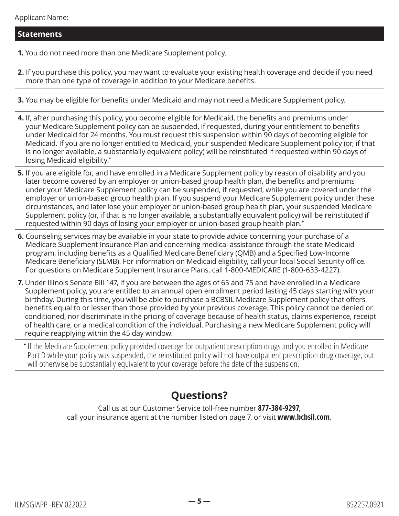### **Statements**

**1.** You do not need more than one Medicare Supplement policy.

- **2.** If you purchase this policy, you may want to evaluate your existing health coverage and decide if you need more than one type of coverage in addition to your Medicare benefits.
- **3.** You may be eligible for benefits under Medicaid and may not need a Medicare Supplement policy.

**4.** If, after purchasing this policy, you become eligible for Medicaid, the benefits and premiums under your Medicare Supplement policy can be suspended, if requested, during your entitlement to benefits under Medicaid for 24 months. You must request this suspension within 90 days of becoming eligible for Medicaid. If you are no longer entitled to Medicaid, your suspended Medicare Supplement policy (or, if that is no longer available, a substantially equivalent policy) will be reinstituted if requested within 90 days of losing Medicaid eligibility.**\***

- **5.** If you are eligible for, and have enrolled in a Medicare Supplement policy by reason of disability and you later become covered by an employer or union-based group health plan, the benefits and premiums under your Medicare Supplement policy can be suspended, if requested, while you are covered under the employer or union-based group health plan. If you suspend your Medicare Supplement policy under these circumstances, and later lose your employer or union-based group health plan, your suspended Medicare Supplement policy (or, if that is no longer available, a substantially equivalent policy) will be reinstituted if requested within 90 days of losing your employer or union-based group health plan.**\***
- **6.** Counseling services may be available in your state to provide advice concerning your purchase of a Medicare Supplement Insurance Plan and concerning medical assistance through the state Medicaid program, including benefits as a Qualified Medicare Beneficiary (QMB) and a Specified Low-Income Medicare Beneficiary (SLMB). For information on Medicaid eligibility, call your local Social Security office. For questions on Medicare Supplement Insurance Plans, call 1-800-MEDICARE (1-800-633-4227).
- **7.** Under Illinois Senate Bill 147, if you are between the ages of 65 and 75 and have enrolled in a Medicare Supplement policy, you are entitled to an annual open enrollment period lasting 45 days starting with your birthday. During this time, you will be able to purchase a BCBSIL Medicare Supplement policy that offers benefits equal to or lesser than those provided by your previous coverage. This policy cannot be denied or conditioned, nor discriminate in the pricing of coverage because of health status, claims experience, receipt of health care, or a medical condition of the individual. Purchasing a new Medicare Supplement policy will require reapplying within the 45 day window.

**\*** If the Medicare Supplement policy provided coverage for outpatient prescription drugs and you enrolled in Medicare Part D while your policy was suspended, the reinstituted policy will not have outpatient prescription drug coverage, but will otherwise be substantially equivalent to your coverage before the date of the suspension.

# **Questions?**

Call us at our Customer Service toll-free number **877-384-9297**, call your insurance agent at the number listed on page 7, or visit **[www.bcbsil.com](http://www.bcbsil.com)**.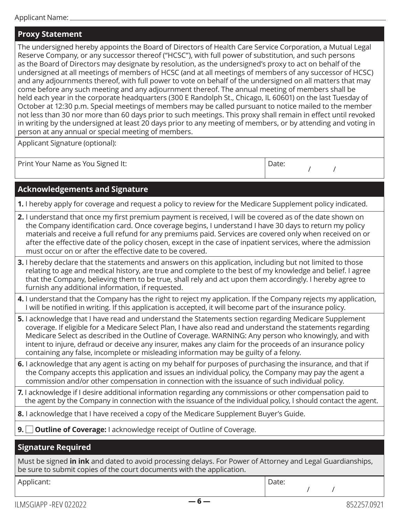### **Proxy Statement**

The undersigned hereby appoints the Board of Directors of Health Care Service Corporation, a Mutual Legal Reserve Company, or any successor thereof ("HCSC"), with full power of substitution, and such persons as the Board of Directors may designate by resolution, as the undersigned's proxy to act on behalf of the undersigned at all meetings of members of HCSC (and at all meetings of members of any successor of HCSC) and any adjournments thereof, with full power to vote on behalf of the undersigned on all matters that may come before any such meeting and any adjournment thereof. The annual meeting of members shall be held each year in the corporate headquarters (300 E Randolph St., Chicago, IL 60601) on the last Tuesday of October at 12:30 p.m. Special meetings of members may be called pursuant to notice mailed to the member not less than 30 nor more than 60 days prior to such meetings. This proxy shall remain in effect until revoked in writing by the undersigned at least 20 days prior to any meeting of members, or by attending and voting in person at any annual or special meeting of members.

Applicant Signature (optional):

Print Your Name as You Signed It:  $\Box$ 

| Date: |  |
|-------|--|
|       |  |

/ /

### **Acknowledgements and Signature**

**1.** I hereby apply for coverage and request a policy to review for the Medicare Supplement policy indicated.

- **2.** I understand that once my first premium payment is received, I will be covered as of the date shown on the Company identification card. Once coverage begins, I understand I have 30 days to return my policy materials and receive a full refund for any premiums paid. Services are covered only when received on or after the effective date of the policy chosen, except in the case of inpatient services, where the admission must occur on or after the effective date to be covered.
- **3.** I hereby declare that the statements and answers on this application, including but not limited to those relating to age and medical history, are true and complete to the best of my knowledge and belief. I agree that the Company, believing them to be true, shall rely and act upon them accordingly. I hereby agree to furnish any additional information, if requested.
- **4.** I understand that the Company has the right to reject my application. If the Company rejects my application, I will be notified in writing. If this application is accepted, it will become part of the insurance policy.
- **5.** I acknowledge that I have read and understand the Statements section regarding Medicare Supplement coverage. If eligible for a Medicare Select Plan, I have also read and understand the statements regarding Medicare Select as described in the Outline of Coverage. WARNING: Any person who knowingly, and with intent to injure, defraud or deceive any insurer, makes any claim for the proceeds of an insurance policy containing any false, incomplete or misleading information may be guilty of a felony.
- **6.** I acknowledge that any agent is acting on my behalf for purposes of purchasing the insurance, and that if the Company accepts this application and issues an individual policy, the Company may pay the agent a commission and/or other compensation in connection with the issuance of such individual policy.
- **7.** I acknowledge if I desire additional information regarding any commissions or other compensation paid to the agent by the Company in connection with the issuance of the individual policy, I should contact the agent.
- **8.** I acknowledge that I have received a copy of the Medicare Supplement Buyer's Guide.
- **9. □ Outline of Coverage:** I acknowledge receipt of Outline of Coverage.

### **Signature Required**

Must be signed **in ink** and dated to avoid processing delays. For Power of Attorney and Legal Guardianships, be sure to submit copies of the court documents with the application.

Applicant:  $\qquad \qquad$  Date:

/ /